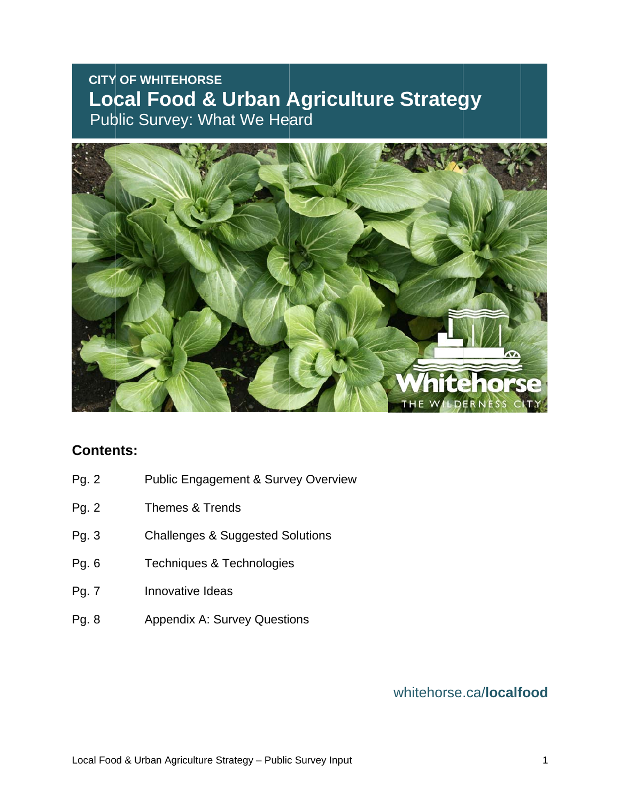# **CITY OF WHITEHORSE Local Food & Urban Agriculture Strategy Public Survey: What We Heard**



### **Contents:**

- Pg. 2 Public Engagement & Survey Overview
- Pg. 2 Themes & Trends
- Pg. 3 Challenges & Suggested Solutions
- Pg. 6 Techniques & Technologies
- Pg. 7 Innovative Ideas
- Pg. 8 Innovative Ideas<br>Appendix A: Survey Questions

### wh itehorse .ca/**localf ood**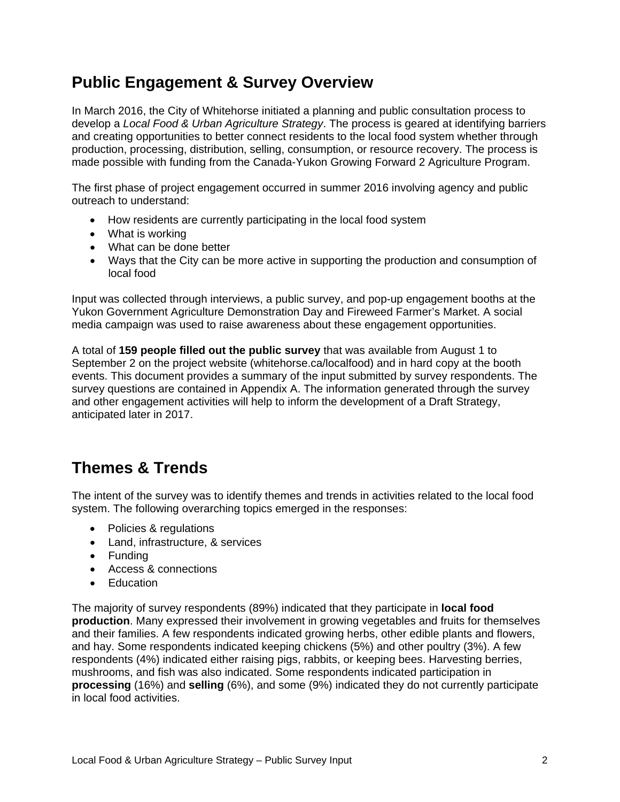# **Public Engagement & Survey Overview**

In March 2016, the City of Whitehorse initiated a planning and public consultation process to develop a *Local Food & Urban Agriculture Strategy*. The process is geared at identifying barriers and creating opportunities to better connect residents to the local food system whether through production, processing, distribution, selling, consumption, or resource recovery. The process is made possible with funding from the Canada-Yukon Growing Forward 2 Agriculture Program.

The first phase of project engagement occurred in summer 2016 involving agency and public outreach to understand:

- How residents are currently participating in the local food system
- What is working
- What can be done better
- Ways that the City can be more active in supporting the production and consumption of local food

Input was collected through interviews, a public survey, and pop-up engagement booths at the Yukon Government Agriculture Demonstration Day and Fireweed Farmer's Market. A social media campaign was used to raise awareness about these engagement opportunities.

A total of **159 people filled out the public survey** that was available from August 1 to September 2 on the project website (whitehorse.ca/localfood) and in hard copy at the booth events. This document provides a summary of the input submitted by survey respondents. The survey questions are contained in Appendix A. The information generated through the survey and other engagement activities will help to inform the development of a Draft Strategy, anticipated later in 2017.

### **Themes & Trends**

The intent of the survey was to identify themes and trends in activities related to the local food system. The following overarching topics emerged in the responses:

- Policies & regulations
- Land, infrastructure, & services
- Funding
- Access & connections
- Education

The majority of survey respondents (89%) indicated that they participate in **local food production**. Many expressed their involvement in growing vegetables and fruits for themselves and their families. A few respondents indicated growing herbs, other edible plants and flowers, and hay. Some respondents indicated keeping chickens (5%) and other poultry (3%). A few respondents (4%) indicated either raising pigs, rabbits, or keeping bees. Harvesting berries, mushrooms, and fish was also indicated. Some respondents indicated participation in **processing** (16%) and **selling** (6%), and some (9%) indicated they do not currently participate in local food activities.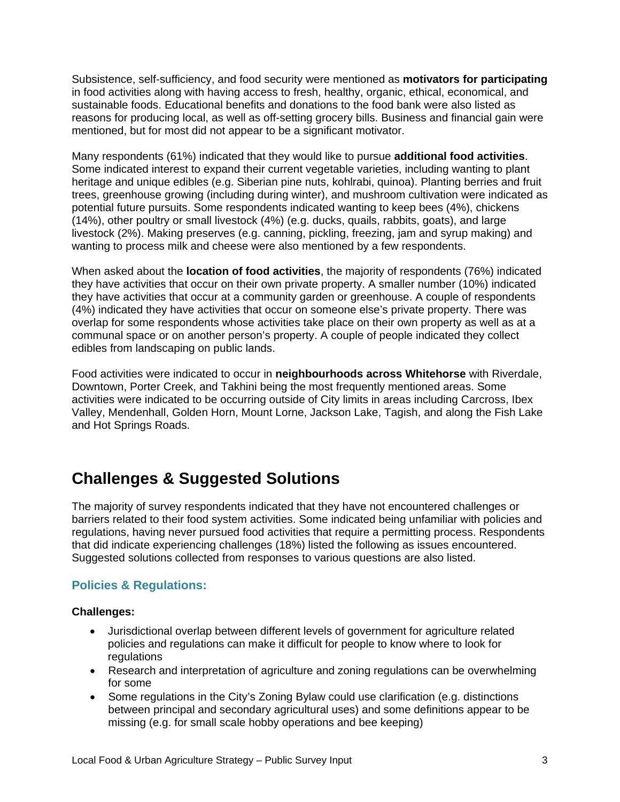Subsistence, self-sufficiency, and food security were mentioned as **motivators for participating**  in food activities along with having access to fresh, healthy, organic, ethical, economical, and sustainable foods. Educational benefits and donations to the food bank were also listed as reasons for producing local, as well as off-setting grocery bills. Business and financial gain were mentioned, but for most did not appear to be a significant motivator.

Many respondents (61%) indicated that they would like to pursue **additional food activities**. Some indicated interest to expand their current vegetable varieties, including wanting to plant heritage and unique edibles (e.g. Siberian pine nuts, kohlrabi, quinoa). Planting berries and fruit trees, greenhouse growing (including during winter), and mushroom cultivation were indicated as potential future pursuits. Some respondents indicated wanting to keep bees (4%), chickens (14%), other poultry or small livestock (4%) (e.g. ducks, quails, rabbits, goats), and large livestock (2%). Making preserves (e.g. canning, pickling, freezing, jam and syrup making) and wanting to process milk and cheese were also mentioned by a few respondents.

When asked about the **location of food activities**, the majority of respondents (76%) indicated they have activities that occur on their own private property. A smaller number (10%) indicated they have activities that occur at a community garden or greenhouse. A couple of respondents (4%) indicated they have activities that occur on someone else's private property. There was overlap for some respondents whose activities take place on their own property as well as at a communal space or on another person's property. A couple of people indicated they collect edibles from landscaping on public lands.

Food activities were indicated to occur in **neighbourhoods across Whitehorse** with Riverdale, Downtown, Porter Creek, and Takhini being the most frequently mentioned areas. Some activities were indicated to be occurring outside of City limits in areas including Carcross, Ibex Valley, Mendenhall, Golden Horn, Mount Lorne, Jackson Lake, Tagish, and along the Fish Lake and Hot Springs Roads.

# **Challenges & Suggested Solutions**

The majority of survey respondents indicated that they have not encountered challenges or barriers related to their food system activities. Some indicated being unfamiliar with policies and regulations, having never pursued food activities that require a permitting process. Respondents that did indicate experiencing challenges (18%) listed the following as issues encountered. Suggested solutions collected from responses to various questions are also listed.

### **Policies & Regulations:**

#### **Challenges:**

- Jurisdictional overlap between different levels of government for agriculture related policies and regulations can make it difficult for people to know where to look for regulations
- Research and interpretation of agriculture and zoning regulations can be overwhelming for some
- Some regulations in the City's Zoning Bylaw could use clarification (e.g. distinctions between principal and secondary agricultural uses) and some definitions appear to be missing (e.g. for small scale hobby operations and bee keeping)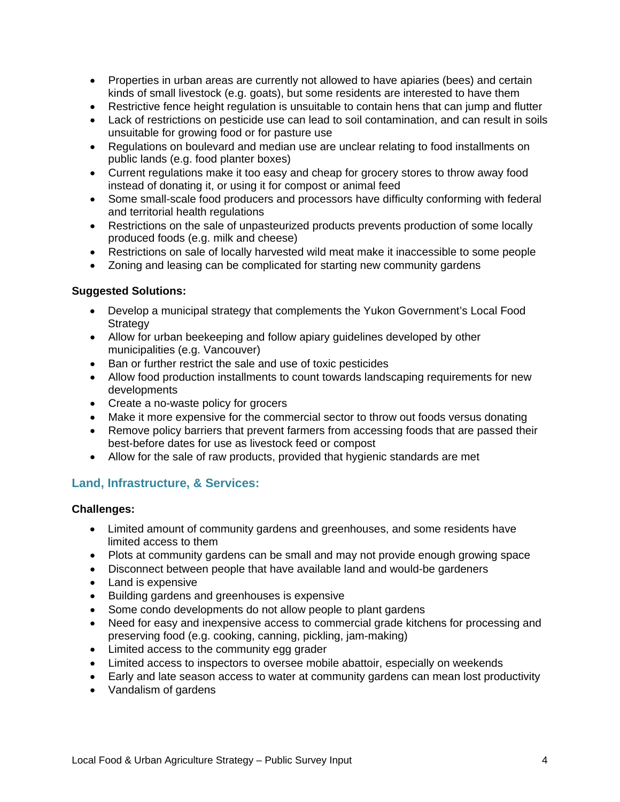- Properties in urban areas are currently not allowed to have apiaries (bees) and certain kinds of small livestock (e.g. goats), but some residents are interested to have them
- Restrictive fence height regulation is unsuitable to contain hens that can jump and flutter
- Lack of restrictions on pesticide use can lead to soil contamination, and can result in soils unsuitable for growing food or for pasture use
- Regulations on boulevard and median use are unclear relating to food installments on public lands (e.g. food planter boxes)
- Current regulations make it too easy and cheap for grocery stores to throw away food instead of donating it, or using it for compost or animal feed
- Some small-scale food producers and processors have difficulty conforming with federal and territorial health regulations
- Restrictions on the sale of unpasteurized products prevents production of some locally produced foods (e.g. milk and cheese)
- Restrictions on sale of locally harvested wild meat make it inaccessible to some people
- Zoning and leasing can be complicated for starting new community gardens

#### **Suggested Solutions:**

- Develop a municipal strategy that complements the Yukon Government's Local Food **Strategy**
- Allow for urban beekeeping and follow apiary guidelines developed by other municipalities (e.g. Vancouver)
- Ban or further restrict the sale and use of toxic pesticides
- Allow food production installments to count towards landscaping requirements for new developments
- Create a no-waste policy for grocers
- Make it more expensive for the commercial sector to throw out foods versus donating
- Remove policy barriers that prevent farmers from accessing foods that are passed their best-before dates for use as livestock feed or compost
- Allow for the sale of raw products, provided that hygienic standards are met

### **Land, Infrastructure, & Services:**

#### **Challenges:**

- Limited amount of community gardens and greenhouses, and some residents have limited access to them
- Plots at community gardens can be small and may not provide enough growing space
- Disconnect between people that have available land and would-be gardeners
- Land is expensive
- Building gardens and greenhouses is expensive
- Some condo developments do not allow people to plant gardens
- Need for easy and inexpensive access to commercial grade kitchens for processing and preserving food (e.g. cooking, canning, pickling, jam-making)
- Limited access to the community egg grader
- Limited access to inspectors to oversee mobile abattoir, especially on weekends
- Early and late season access to water at community gardens can mean lost productivity
- Vandalism of gardens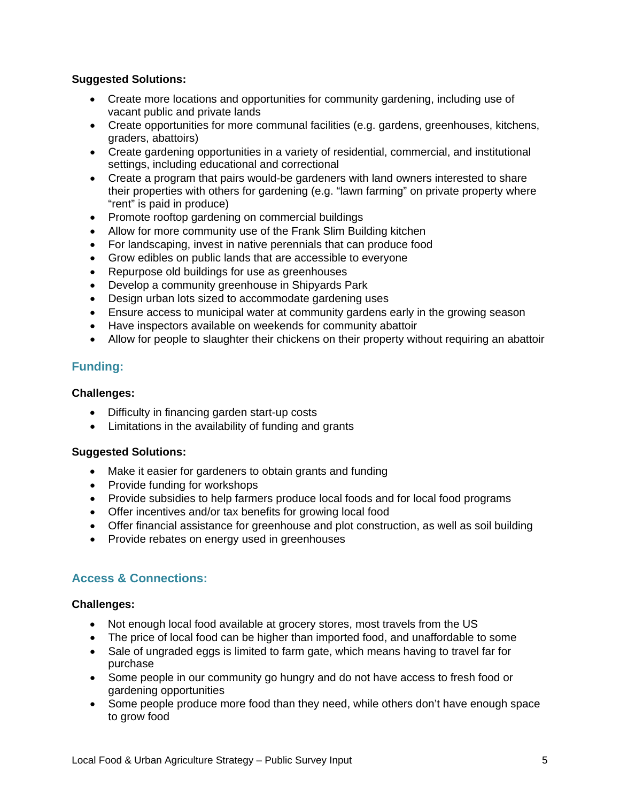#### **Suggested Solutions:**

- Create more locations and opportunities for community gardening, including use of vacant public and private lands
- Create opportunities for more communal facilities (e.g. gardens, greenhouses, kitchens, graders, abattoirs)
- Create gardening opportunities in a variety of residential, commercial, and institutional settings, including educational and correctional
- Create a program that pairs would-be gardeners with land owners interested to share their properties with others for gardening (e.g. "lawn farming" on private property where "rent" is paid in produce)
- Promote rooftop gardening on commercial buildings
- Allow for more community use of the Frank Slim Building kitchen
- For landscaping, invest in native perennials that can produce food
- Grow edibles on public lands that are accessible to everyone
- Repurpose old buildings for use as greenhouses
- Develop a community greenhouse in Shipyards Park
- Design urban lots sized to accommodate gardening uses
- Ensure access to municipal water at community gardens early in the growing season
- Have inspectors available on weekends for community abattoir
- Allow for people to slaughter their chickens on their property without requiring an abattoir

#### **Funding:**

#### **Challenges:**

- Difficulty in financing garden start-up costs
- Limitations in the availability of funding and grants

#### **Suggested Solutions:**

- Make it easier for gardeners to obtain grants and funding
- Provide funding for workshops
- Provide subsidies to help farmers produce local foods and for local food programs
- Offer incentives and/or tax benefits for growing local food
- Offer financial assistance for greenhouse and plot construction, as well as soil building
- Provide rebates on energy used in greenhouses

#### **Access & Connections:**

#### **Challenges:**

- Not enough local food available at grocery stores, most travels from the US
- The price of local food can be higher than imported food, and unaffordable to some
- Sale of ungraded eggs is limited to farm gate, which means having to travel far for purchase
- Some people in our community go hungry and do not have access to fresh food or gardening opportunities
- Some people produce more food than they need, while others don't have enough space to grow food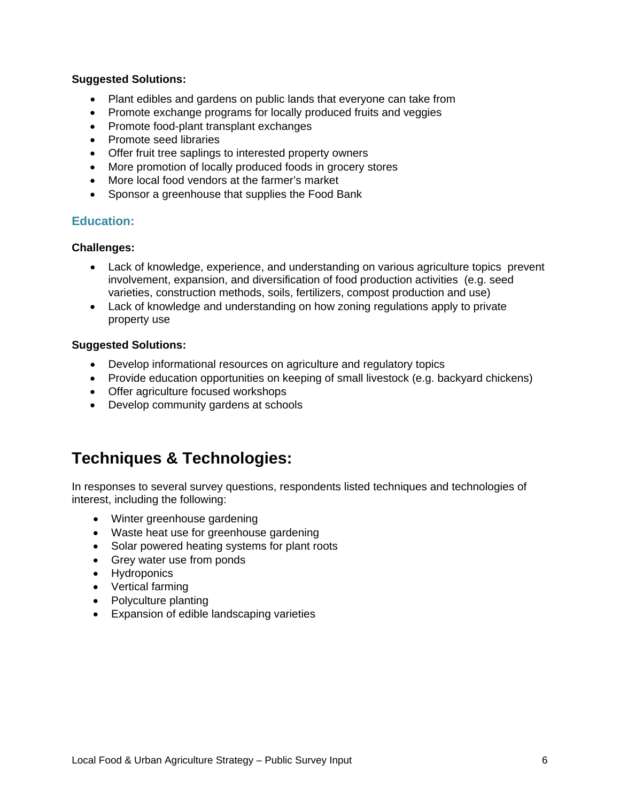#### **Suggested Solutions:**

- Plant edibles and gardens on public lands that everyone can take from
- Promote exchange programs for locally produced fruits and veggies
- Promote food-plant transplant exchanges
- Promote seed libraries
- Offer fruit tree saplings to interested property owners
- More promotion of locally produced foods in grocery stores
- More local food vendors at the farmer's market
- Sponsor a greenhouse that supplies the Food Bank

#### **Education:**

#### **Challenges:**

- Lack of knowledge, experience, and understanding on various agriculture topics prevent involvement, expansion, and diversification of food production activities (e.g. seed varieties, construction methods, soils, fertilizers, compost production and use)
- Lack of knowledge and understanding on how zoning regulations apply to private property use

#### **Suggested Solutions:**

- Develop informational resources on agriculture and regulatory topics
- Provide education opportunities on keeping of small livestock (e.g. backyard chickens)
- Offer agriculture focused workshops
- Develop community gardens at schools

## **Techniques & Technologies:**

In responses to several survey questions, respondents listed techniques and technologies of interest, including the following:

- Winter greenhouse gardening
- Waste heat use for greenhouse gardening
- Solar powered heating systems for plant roots
- Grey water use from ponds
- Hydroponics
- Vertical farming
- Polyculture planting
- Expansion of edible landscaping varieties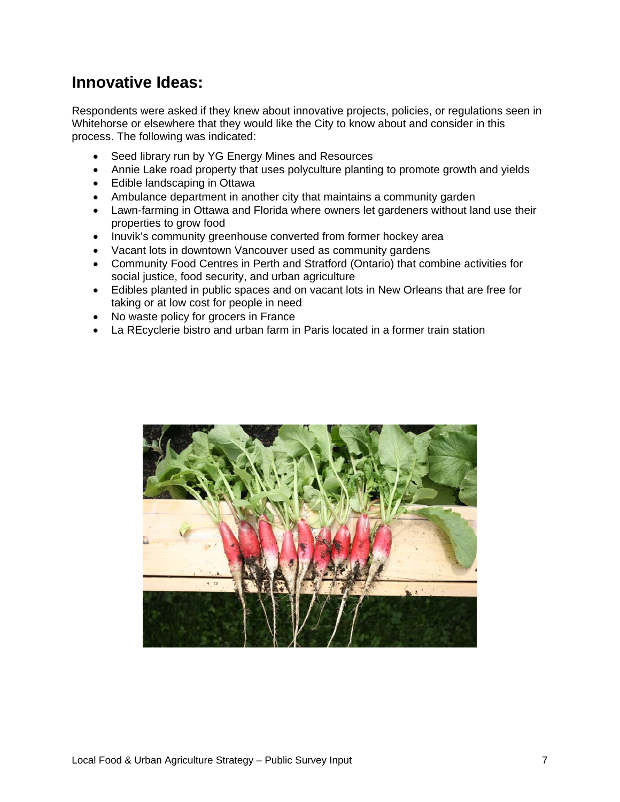## **Innovative Ideas:**

Respondents were asked if they knew about innovative projects, policies, or regulations seen in Whitehorse or elsewhere that they would like the City to know about and consider in this process. The following was indicated:

- Seed library run by YG Energy Mines and Resources
- Annie Lake road property that uses polyculture planting to promote growth and yields
- Edible landscaping in Ottawa
- Ambulance department in another city that maintains a community garden
- Lawn-farming in Ottawa and Florida where owners let gardeners without land use their properties to grow food
- Inuvik's community greenhouse converted from former hockey area
- Vacant lots in downtown Vancouver used as community gardens
- Community Food Centres in Perth and Stratford (Ontario) that combine activities for social justice, food security, and urban agriculture
- Edibles planted in public spaces and on vacant lots in New Orleans that are free for taking or at low cost for people in need
- No waste policy for grocers in France
- La REcyclerie bistro and urban farm in Paris located in a former train station

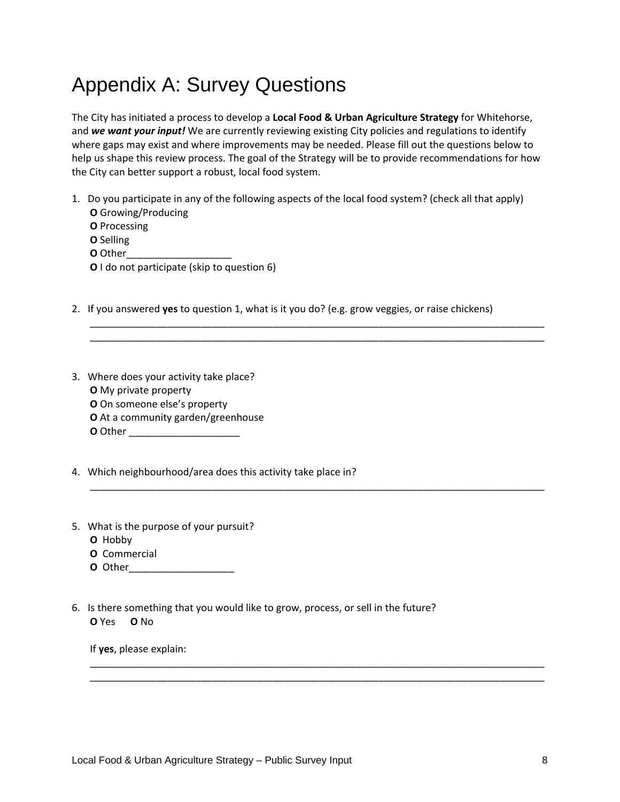# Appendix A: Survey Questions

The City has initiated a process to develop a **Local Food & Urban Agriculture Strategy** for Whitehorse, and *we want your input!* We are currently reviewing existing City policies and regulations to identify where gaps may exist and where improvements may be needed. Please fill out the questions below to help us shape this review process. The goal of the Strategy will be to provide recommendations for how the City can better support a robust, local food system.

- 1. Do you participate in any of the following aspects of the local food system? (check all that apply) **O** Growing/Producing
	- **O** Processing
	- **O** Selling
	-
	- **O** Other\_\_\_\_\_\_\_\_\_\_\_\_\_\_\_\_\_\_\_ **O** I do not participate (skip to question 6)
	-
- 2. If you answered **yes** to question 1, what is it you do? (e.g. grow veggies, or raise chickens)

\_\_\_\_\_\_\_\_\_\_\_\_\_\_\_\_\_\_\_\_\_\_\_\_\_\_\_\_\_\_\_\_\_\_\_\_\_\_\_\_\_\_\_\_\_\_\_\_\_\_\_\_\_\_\_\_\_\_\_\_\_\_\_\_\_\_\_\_\_\_\_\_\_\_\_\_\_\_\_\_\_\_ \_\_\_\_\_\_\_\_\_\_\_\_\_\_\_\_\_\_\_\_\_\_\_\_\_\_\_\_\_\_\_\_\_\_\_\_\_\_\_\_\_\_\_\_\_\_\_\_\_\_\_\_\_\_\_\_\_\_\_\_\_\_\_\_\_\_\_\_\_\_\_\_\_\_\_\_\_\_\_\_\_\_

\_\_\_\_\_\_\_\_\_\_\_\_\_\_\_\_\_\_\_\_\_\_\_\_\_\_\_\_\_\_\_\_\_\_\_\_\_\_\_\_\_\_\_\_\_\_\_\_\_\_\_\_\_\_\_\_\_\_\_\_\_\_\_\_\_\_\_\_\_\_\_\_\_\_\_\_\_\_\_\_\_\_

\_\_\_\_\_\_\_\_\_\_\_\_\_\_\_\_\_\_\_\_\_\_\_\_\_\_\_\_\_\_\_\_\_\_\_\_\_\_\_\_\_\_\_\_\_\_\_\_\_\_\_\_\_\_\_\_\_\_\_\_\_\_\_\_\_\_\_\_\_\_\_\_\_\_\_\_\_\_\_\_\_\_ \_\_\_\_\_\_\_\_\_\_\_\_\_\_\_\_\_\_\_\_\_\_\_\_\_\_\_\_\_\_\_\_\_\_\_\_\_\_\_\_\_\_\_\_\_\_\_\_\_\_\_\_\_\_\_\_\_\_\_\_\_\_\_\_\_\_\_\_\_\_\_\_\_\_\_\_\_\_\_\_\_\_

- 3. Where does your activity take place? **O** My private property **O** On someone else's property **O** At a community garden/greenhouse **O** Other \_\_\_\_\_\_\_\_\_\_\_\_\_\_\_\_\_\_\_\_
- 4. Which neighbourhood/area does this activity take place in?
- 5. What is the purpose of your pursuit?
	- **O** Hobby
	- **O** Commercial
	- **O** Other\_\_\_\_\_\_\_\_\_\_\_\_\_\_\_\_\_\_\_
- 6. Is there something that you would like to grow, process, or sell in the future? **O** Yes **O** No

If **yes**, please explain: